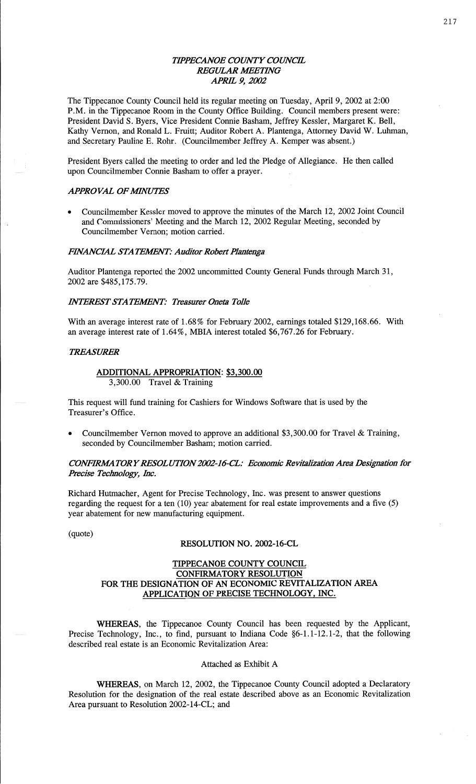## *WPECANOE COWTY COWCE*  **REGULAR MEETING** *APRIL* 9, *2002*

The Tippecanoe County Council held its regular meeting on Tuesday, April 9, 2002 at 2:00 P.M. in the Tippecanoe Room in the County Office Building. Council members present were: President David S. Byers, **Vice** President Connie Basham, Jeffrey Kessler, Margaret K. Bell, Kathy Vernon, and Ronald L. Pruitt; Auditor Robert A. Plantenga, Attorney David W. **Luhman,**  and Secretary Pauline E. Rohr. (Councilmember Jeffrey A. Kemper was absent.)

President Byers called the meeting to order and led the Pledge of Allegiance. He then **called**  upon Councilmember **Connie Basham** to offer a prayer.

#### **APPROVAL OF MINUTES**

Councilmember Kessler moved to approve the minutes of the March 12, 2002 Joint Council and Commissioners' Meeting and the **March** 12,2002 Regular Meeting, seconded by Councilmember Vernon; motion carried.

### *FINANCIAL STATEMENT: Auditor Robert Plantenga*

Auditor Plantenga reported the 2002 uncommitted County General Funds through March 31, 2002 are \$485,175.79.

## *INTEREST STATEMENT: Treasurer Oneta Tolle*

With an average interest rate of 1.68% for February 2002, earnings totaled \$129,168.66. With an average interest rate of 1.64%, **MBIA** interest totaled \$6,767.26 for February.

#### *TREASURER*

#### **ADDITIONAL APPROPRIATION:** \$3,300.00 3,300.00 Travel & Training

**This** request will **fund** training for Cashiers for Windows Software **that** is used by the Treasurer's Office.

**<sup>0</sup>**Councilmember **Vernon** moved to approve an additional \$3,300.00 for Travel & Training, seconded by Councilmember Basham; motion carried.

## **CONFIRMATORY RESOLUTION 2002-16-CL: Economic Revitalization Area Designation for** *Precise Technology, Inc.*

Richard Hutmacher, Agent for Precise Technology, Inc. was present to answer questions regarding the request for a ten **(10)** year abatement for real estate improvements and a five (5) year abatement for new manufacturing equipment.

# (quote) **RESOLUTION** No. **2002-16—CL**

# **TIPPECANOE COUNTY COUNCIL CONFIRMATORY RESOLUTION**  FOR THE **DESIGNATION** OF AN **ECONOMIC REVITALIZATION AREA APPLICATION** OF **PRECISE TECHNOLOGY,** INC.

WHEREAS, the Tippecanoe County Council has been requested by the Applicant, Precise Technology, Inc., to **find,** pursuant to Indiana Code §6-1.1—12.1-2, that the following described real estate is an Economic Revitalization Area:

#### Attached as Exhibit **<sup>A</sup>**

**WHEREAS,** on March 12, 2002, the Tippecanoe County **Council** adopted a Declaratory Resolution for the designation of the real estate described above as an Economic Revitalization Area **pursuant** to Resolution 2002-14-CL; and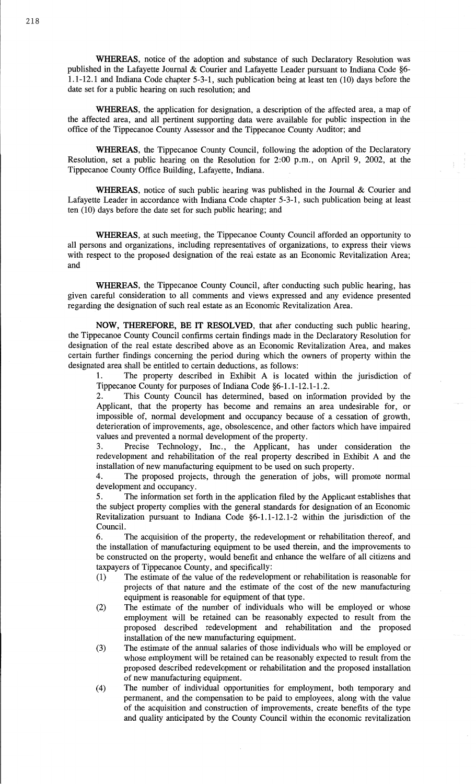WHEREAS, notice of the **adoption** and substance of **such** Declaratory Resolution was published in the Lafayette Journal & Courier and Lafayette Leader pursuant to Indiana Code §6— 1.1—12.1 and **Indiana** Code chapter **5-3-1,** such publication being at **least** ten (10) days **before** the date set for **a** public hearing on such resolution; and

**WHEREAS,** the **application** for designation, **a** description of the **affected** area, a map o<sup>f</sup> the **affected** area, and all pertinent **supporting** data were available for public inspection in the office of the Tippecanoe County Assessor and the Tippecanoe County **Auditor;** and

**WHEREAS,** the Tippecanoe County Council, following the adoption of the Declaratory Resolution, set **a** public hearing on the Resolution for **2:00** p.m., on April 9, 2002, at the **Tippecanoe** County Office Building, Lafayette, Indiana.

**WHEREAS,** notice of such public hearing was published in the Journal & Courier and Lafayette **Leader** in accordance with **Indiana** Code chapter 5-3-1, **such** publication being at **least**  ten **(10)** days before the **date** set for **such** public hearing; and

**WHEREAS,** at such meeting, the **Tippecanoe** County Council afforded an opportunity to all **persons** and organizations, including representatives of **organizations,** to express their views with respect to the proposed designation of the **real estate** as an Economic Revitalization Area; and

**WHEREAS,** the **Tippecanoe County Council,** after conducting **such** public hearing, has given **careful** consideration to all comments and views expressed and any **evidence** presented regarding the designation of **such** real estate as an Economic Revitalization **Area.** 

**NOW, THEREFORE,** BE IT **RESOLVED, that** after **conducting** such **public** hearing, the Tippecanoe County Council confirms certain findings made in the Declaratory Resolution for designation of the real estate described above as an Economic Revitalization Area, and makes certain further **findings** concerning the period during which the owners of property within the designated area shall be entitled to certain deductions, as follows:

1. The property described in Exhibit **A** is located **within** the jurisdiction of Tippecanoe County for purposes of Indiana Code §6-1.1-12.1-1.2.

2. This County Council has determined, based on information provided by the Applicant, that the property has become and remains an area undesirable for, or impossible of, normal development and occupancy **because** of **a** cessation of growth, deterioration of improvements, age, obsolescence, and other factors which have impaired values and prevented a normal development of the property.

3. Precise Technology, Inc., the Applicant, has under consideration the redevelopment and **rehabilitation** of the real property described in Exhibit **A** and the installation of new **manufacturing equipment** to be used on **such** property.

4. The proposed projects, through the generation of **jobs, will** promote **normal**  development and occupancy.

5. The **information** set forth in the application filed by the **Applicant** establishes that the subject property complies with the **general standards** for **designation** of an Economic Revitalization pursuant to **Indiana** Code §6—1.1-12.1-2 within the jurisdiction of the Council.

6. The acquisition of the property, the redevelopment or rehabilitation thereof, and the installation of manufacturing equipment to be used therein, and the improvements to be constructed on the property, would benefit and enhance the welfare of all citizens and taxpayers of Tippecanoe County, and specifically:

- (1) The estimate of the value of the redevelopment or rehabilitation is reasonable for projects of that nature and the estimate of the cost of the new manufacturing equipment is reasonable for equipment of that type.
- (2) The estimate of the number of individuals who will be employed or whose employment will be retained can be reasonably expected to result from the **proposed** described redevelopment and rehabilitation and the proposed installation of the new manufacturing equipment.
- (3) The estimate of the annual salaries of **those** individuals who will be employed or **whose** employment will be retained can be reasonably **expected** to result from the proposed described redevelopment or rehabilitation and the **proposed** installation of new manufacturing equipment.
- (4) The munber of individual opportunities for employment, **both** temporary and permanent, and the compensation to be paid to employees, **along** with the value of the **acquisition** and construction of **improvements,** create benefits of the type and quality **anticipated** by the County Council within the **economic** revitalization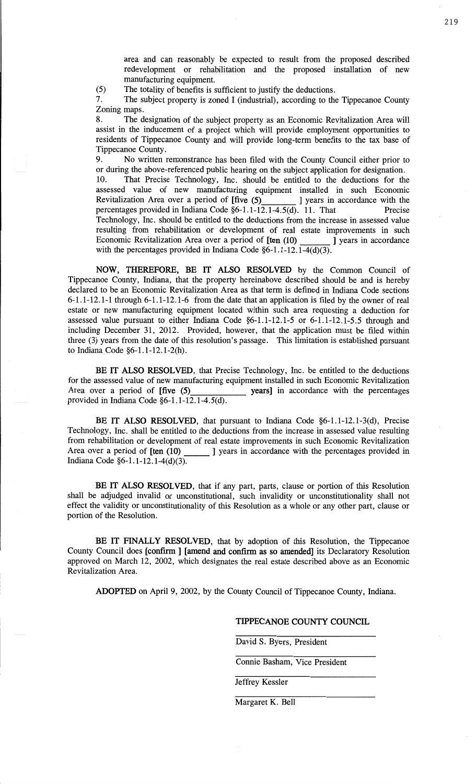area and can reasonably be expected to result from the proposed described redevelopment or rehabilitation and the proposed installation of new manufacturing **equipment.** 

(5) The totality of benefits is sufficient to justify the deductions.

7. The subject property is zoned I (industrial), according to the Tippecanoe **County**  Zoning **maps.** 

8. The designation of the subject property as an Economic Revitalization Area **will**  assist in the **inducement** of **a** project which will provide employment opportunities to residents of **Tippecanoe County** and will provide long-term benefits to the tax base of Tippecanoe County.

9. No written remonstrance has been filed with the County Council either prior to or during the above-referenced public hearing on the subject application for designation.

10. That Precise Technology, Inc. should be **entitled** to the deductions for the assessed value of new manufacturing equipment installed in such Economic Revitalization Area over a period of  $[five (5)$  ] years in accordance with the Revitalization Area over a period of  $[five (5)]$ percentages **provided** in Indiana Code §6-1.1-12.1-4.5(d). 11. **That** Precise Technology, **Inc.** should be entitled to the deductions from the increase in **assessed value**  resulting from rehabilitation or development of real estate improvements in such Economic Revitalization Area over a period of  $[ten (10)$   $]$  J years in accordance Economic Revitalization Area over a period of [ten (10) with the percentages provided in **Indiana** Code **§6-1.1-12.1-4(d)(3).** 

**NOW, THEREFORE,** BE IT **ALSO RESOLVED** by the **Common** Council of **Tippecanoe** County, **Indiana, that** the property hereinabove described should be and is hereby declared to be an Economic Revitalization Area as that term is defined in **Indiana** Code sections **6—1.1—12.1-1** through 6-1.1-12.1-6 from the date **that** an **application** is filed by the owner of real estate or new manufacturing equipment **located** within such area requesting a deduction for assessed **value** pursuant to **either** Indiana Code **§6-1.1-12.1-5** or 6-1.1-12.1-5.5 through and including December 31, **2012. Provided,** however, that the application must be filed **within**  three (3) years from the date of **this resolution's** passage. This limitation is **established pursuant**  to **Indiana** Code §6-1.1-12.1-2(h).

*.* BE IT **ALSO RESOLVED, that** Precise Technology, **Inc.** be entitled to the deductions for the assessed value of new manufacturing **equipment** installed in **such** Economic Revitalization Area over **a** period of [five (5) **years]** in accordance with the percentages **provided** in Indiana Code §6-1.1-12.1-4.5(d).

BE IT **ALSO RESOLVED,** that pursuant to **Indiana** Code §6—1.1-12.1—3(d), **Precise Technology, Inc. shall** be entitled to the deductions from the increase in **assessed** value resulting **from** rehabilitation or development: of real estate **improvements** in **such** Economic Revitalization Area **over a period** of **[ten (10)** ] years in accordance with the percentages **provided** in **Indiana** Code §6-1. **1—12.** 1-4(d)(3).

BE IT **ALSO RESOLVED,** that if any part, parts, clause or portion of **this** Resolution **shall** be adjudged **invalid** or **unconstitutional,** such invalidity or unconstitutionality **shall** not effect the validity or unconstitutionality of **this** Resolution as a whole or any other part, clause or portion of the Resolution.

BE IT **FINALLY RESOLVED,** that by **adoption** of **this Resolution,** the **Tippecanoe**  County Council **does** [confirm] **[amend** and **confirm** as so **mended]** its Declaratory Resolution **approved** on March 12, **2002,** which designates the **real** estate **described above** as an **Economic**  Revitalization Area.

**ADOPTED** on April 9, 2002, by the County Council of **Tippecanoe County, Indiana.** 

### **TIPPECANOE COUNTY COUNCIL**

David S. Byers, President

**Connie** Basham, **Vice** President

Jeffrey Kessler

Margaret K. **Bell**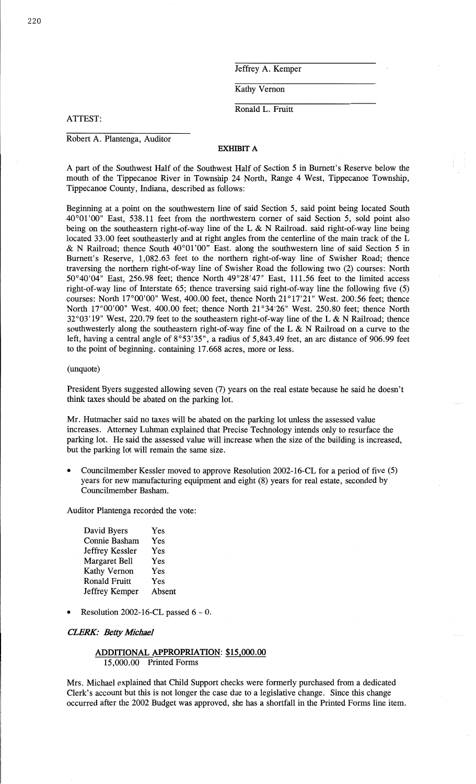Jeffrey A. Kemper

Kathy Vernon

Ronald L. Fruitt

**ATTEST:** 

Robert A. Plantenga, Auditor

## **EXHIBIT A**

**A part** of the Southwest Half of the Southwest Half of Section 5 in **Burnett's** Reserve below the **mouth** of the **Tippecanoe River** in **Township** 24 **North, Range** 4 West, **Tippecanoe** Township, Tippecanoe **County, Indiana,** described as follows: '

**Beginning** at **a** point on the southwestern line of **said** Section 5, said **point** being located South 40°01'00" East, 538.11 feet from the northwestern comer of said Section 5, sold point also being on the southeastern right-of-way line of the **L &** N Railroad. said right-of-way line being located 33.00 feet southeasterly and at right angles from the centerline of the **main** track of the L & N Railroad; thence South 40°01'00" East. along the southwestern **line** of said Section 5 in **Burnett's** Reserve, 1,082.63 feet to the northern right-of—way **line** of Swisher Road; thence traversing the northern right-of—way line of Swisher Road the following two (2) courses: North 50°40'04" **East,** 256.98 feet; thence North 49°28'47" East, 111.56 **feet** to the limited access right-of-way line of Interstate 65; thence traversing said right-of-way line the following five (5) courses: North **17°00'00"** West, 400.00 feet, thence North **21°17'21"** West. 200.56 **feet;** thence North **17°00'00" West.** 400.00 feet; thence **North 21°34'26"** West. 250.80 feet; thence North *32°03'* 19" West, 220.79 feet to the southeastern right-of—way line of the **L** & N Railroad; thence southwesterly along the **southeastern** right—of—way fine of the L & N Railroad on **a** curve to the **left,** having **a** central angle of 8°53'35", **a** radius of 5,843.49 feet, an arc **distance** of 906.99 feet to the point of beginning. **containing** 17.668 acres, **more** or **less.** 

#### (unquote)

President Byers suggested allowing seven (7) years on the real estate because he **said** he **doesn't think taxes should** be abated on the parking lot.

Mr. Hutmacher said no taxes will be abated on the parking lot unless the assessed value increases. Attorney Luhman **explained that** Precise **Technology** intends only to resurface the parking lot. He **said** the **assessed** value will increase when the **size** of the building is **increased,**  but the parking lot will remain the same size.<br>
• Councilmember Kessler moved to approve Resolution 2002-16-CL for a period of five (5)

years for new **manufacturing** equipment and eight (8) **years** for **real estate,** seconded by **Councilmember Basham.** 

Auditor Plantenga recorded the vote:

| David Byers          | Yes    |
|----------------------|--------|
| Connie Basham        | Yes    |
| Jeffrey Kessler      | Yes    |
| <b>Margaret Bell</b> | Yes    |
| <b>Kathy Vernon</b>  | Yes    |
| <b>Ronald Fruitt</b> | Yes    |
| Jeffrey Kemper       | Absent |

**0** Resolution 2002-16-CL passed **6** — 0.

#### **CLERK: Betty Michael**

## **ADDITIONAL APPROPRIATION:** \$15,000.00 15,000.00 Printed Forms

Mrs. Michael **explained** that **Child Support** checks were **formerly purchased** from **a** dedicated **Clerk's** account but this is not longer the case due to **a** legislative **change.** Since this change occurred after the 2002 Budget was **approved,** she has a **shortfall** in the **Printed** Forms line item.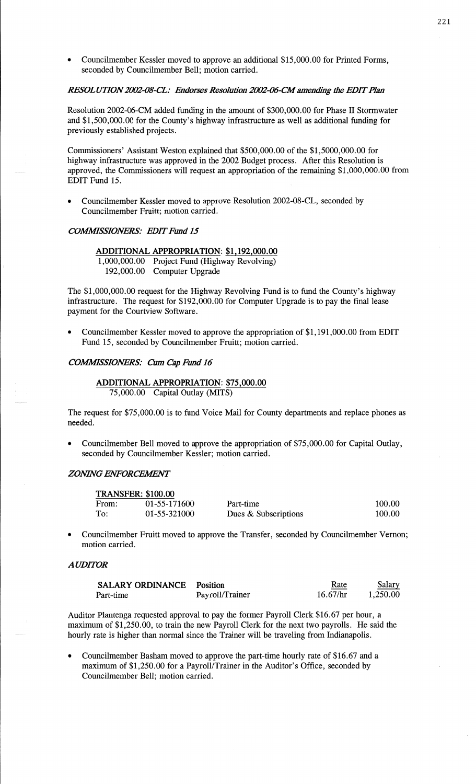**0** Councilmember Kessler moved to approve an **additional** \$15,000.00 for Printed Forms, seconded by Councilmember Bell; motion carried.

## *RESOLUTION 2002-08-CL: Endorses Resolution 2002-06-CM amending the EDIT Plan*

Resolution 2002-06-CM added funding in the amount of \$300,000.00 for **Phase H** Stormwater and \$1,500,000.00 for the County's highway infrastructure as well as additional funding for previously established **projects.** 

Commissioners' Assistant Weston explained that \$500,000.00 of the \$1,5000,000.00 for highway infrastructure was approved in the 2002 Budget process. After this Resolution is approved, the **Commissioners** will request an appropriation of the remaining \$1 ,000,000.00 from EDIT Fund 15.

Councilmember Kessler moved to approve Resolution 2002-08-CL, seconded by Councilmember Pruitt; motion carried.

### **COMMISSIONERS: EDIT Fund 15**

**ADDITIONAL APPROPRIATION:** \$1 , **192,000.00**  1,000,000.00 Project Fund (Highway Revolving) 192,000.00 Computer Upgrade

The \$1,000,000.00 request for the Highway Revolving Fund is to **fund** the County's highway infrastructure. The request for \$192,000.00 for Computer Upgrade is to pay the final lease payment for the Courtview Software.

*0* Councilmember Kessler moved to approve the appropriation of \$1,191,000.00 from EDIT Fund 15, **seconded** by Councilmember Fruitt; **motion** carried.

### **COMMISSIONERS:** Cum Cap Fund 16

## **ADDITIONAL APPROPRIATION: \$75,000.00**  75,000.00 Capital Outlay (MITS)

The request for \$75,000.00 is to fund Voice Mail for County departments and replace phones as needed.

**0** Councilmember Bell moved to approve the appropriation of \$75,000.00 for **Capital** Outlay, seconded by Councilmember Kessler; motion carried.

#### *ZONHVG ENFORCEWNT*

|       | <b>TRANSFER: \$100.00</b> |                      |        |
|-------|---------------------------|----------------------|--------|
| From: | 01-55-171600              | Part-time            | 100.00 |
| To:   | 01-55-321000              | Dues & Subscriptions | 100.00 |

**0** Councilmember Fruitt moved to approve the Transfer, seconded by Councilmember Vernon; motion carried.

## *A UDIYOR*

| <b>SALARY ORDINANCE</b> Position |                 | Rate     | Salary   |
|----------------------------------|-----------------|----------|----------|
| Part-time                        | Payroll/Trainer | 16.67/hr | 1.250.00 |

Auditor Plantenga requested **approval** to pay the former Payroll Clerk \$16.67 per hour, **<sup>a</sup> maximum** of \$1,250.00, to train the new Payroll Clerk for the next two payrolls. He said the hourly rate is higher than normal since the Trainer will be traveling from **Indianapolis.** 

**<sup>0</sup>**Councilmember **Basham** moved to approve the part—time hourly rate of \$16.67 and **a**  maximum of \$1,250.00 for a Payroll/Trainer in the Auditor's Office, seconded by Councilmember Bell; motion carried.